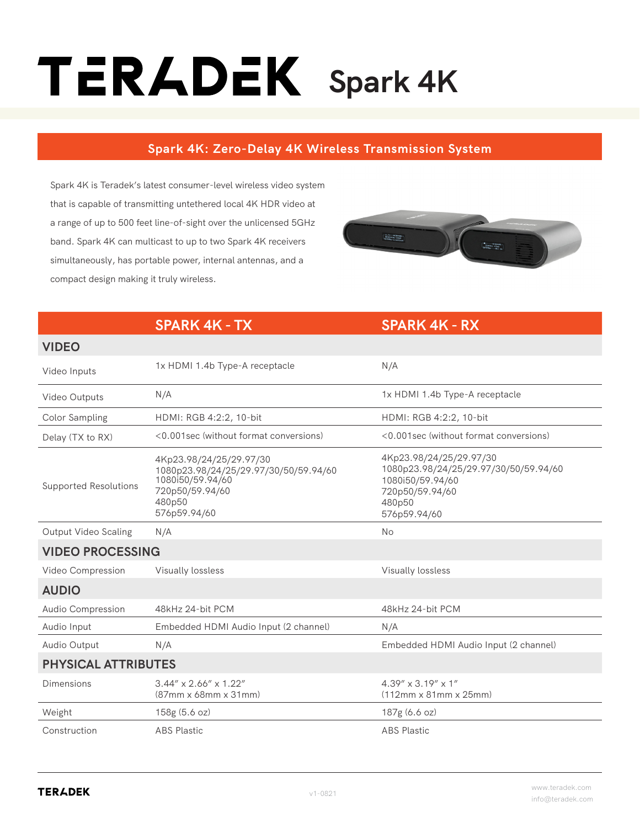## TERADEK Spark 4K

## **Spark 4K: Zero-Delay 4K Wireless Transmission System**

Spark 4K is Teradek's latest consumer-level wireless video system that is capable of transmitting untethered local 4K HDR video at a range of up to 500 feet line-of-sight over the unlicensed 5GHz band. Spark 4K can multicast to up to two Spark 4K receivers simultaneously, has portable power, internal antennas, and a compact design making it truly wireless.



## **SPARK 4K - TX SPARK 4K - RX**

| <b>VIDEO</b>                 |                                                                                                                                   |                                                                                                                                   |  |
|------------------------------|-----------------------------------------------------------------------------------------------------------------------------------|-----------------------------------------------------------------------------------------------------------------------------------|--|
| Video Inputs                 | 1x HDMI 1.4b Type-A receptacle                                                                                                    | N/A                                                                                                                               |  |
| Video Outputs                | N/A                                                                                                                               | 1x HDMI 1.4b Type-A receptacle                                                                                                    |  |
| Color Sampling               | HDMI: RGB 4:2:2, 10-bit                                                                                                           | HDMI: RGB 4:2:2, 10-bit                                                                                                           |  |
| Delay (TX to RX)             | <0.001sec (without format conversions)                                                                                            | <0.001sec (without format conversions)                                                                                            |  |
| <b>Supported Resolutions</b> | 4Kp23.98/24/25/29.97/30<br>1080p23.98/24/25/29.97/30/50/59.94/60<br>1080i50/59.94/60<br>720p50/59.94/60<br>480p50<br>576p59.94/60 | 4Kp23.98/24/25/29.97/30<br>1080p23.98/24/25/29.97/30/50/59.94/60<br>1080i50/59.94/60<br>720p50/59.94/60<br>480p50<br>576p59.94/60 |  |
| <b>Output Video Scaling</b>  | N/A                                                                                                                               | <b>No</b>                                                                                                                         |  |
| <b>VIDEO PROCESSING</b>      |                                                                                                                                   |                                                                                                                                   |  |
| Video Compression            | Visually lossless                                                                                                                 | Visually lossless                                                                                                                 |  |
| <b>AUDIO</b>                 |                                                                                                                                   |                                                                                                                                   |  |
| Audio Compression            | 48kHz 24-bit PCM                                                                                                                  | 48kHz 24-bit PCM                                                                                                                  |  |
| Audio Input                  | Embedded HDMI Audio Input (2 channel)                                                                                             | N/A                                                                                                                               |  |
| Audio Output                 | N/A                                                                                                                               | Embedded HDMI Audio Input (2 channel)                                                                                             |  |
| <b>PHYSICAL ATTRIBUTES</b>   |                                                                                                                                   |                                                                                                                                   |  |
| <b>Dimensions</b>            | $3.44'' \times 2.66'' \times 1.22''$<br>$(87mm \times 68mm \times 31mm)$                                                          | 4.39" x 3.19" x 1"<br>$(112mm \times 81mm \times 25mm)$                                                                           |  |
| Weight                       | 158g (5.6 oz)                                                                                                                     | 187g(6.6 oz)                                                                                                                      |  |
| Construction                 | <b>ABS Plastic</b>                                                                                                                | <b>ABS Plastic</b>                                                                                                                |  |

**VIDEO**